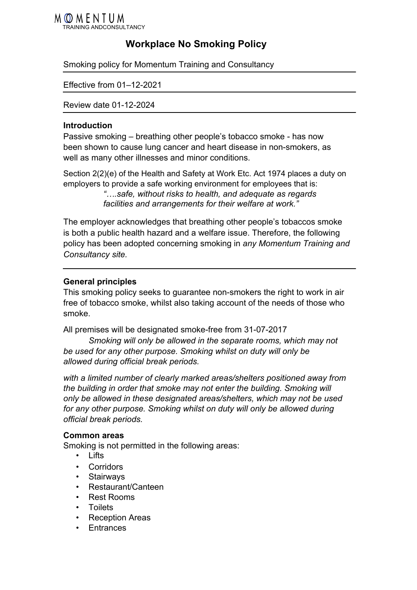

# **Workplace No Smoking Policy**

Smoking policy for Momentum Training and Consultancy

Effective from 01–12-2021

Review date 01-12-2024

#### **Introduction**

Passive smoking – breathing other people's tobacco smoke - has now been shown to cause lung cancer and heart disease in non-smokers, as well as many other illnesses and minor conditions.

Section 2(2)(e) of the Health and Safety at Work Etc. Act 1974 places a duty on employers to provide a safe working environment for employees that is: *"….safe, without risks to health, and adequate as regards facilities and arrangements for their welfare at work."*

The employer acknowledges that breathing other people's tobaccos smoke is both a public health hazard and a welfare issue. Therefore, the following policy has been adopted concerning smoking in *any Momentum Training and Consultancy site.*

# **General principles**

This smoking policy seeks to guarantee non-smokers the right to work in air free of tobacco smoke, whilst also taking account of the needs of those who smoke.

All premises will be designated smoke-free from 31-07-2017

*Smoking will only be allowed in the separate rooms, which may not be used for any other purpose. Smoking whilst on duty will only be allowed during official break periods.*

*with a limited number of clearly marked areas/shelters positioned away from the building in order that smoke may not enter the building. Smoking will only be allowed in these designated areas/shelters, which may not be used for any other purpose. Smoking whilst on duty will only be allowed during official break periods.*

#### **Common areas**

Smoking is not permitted in the following areas:

- Lifts
- Corridors
- Stairways
- Restaurant/Canteen
- Rest Rooms
- Toilets
- Reception Areas
- **F**ntrances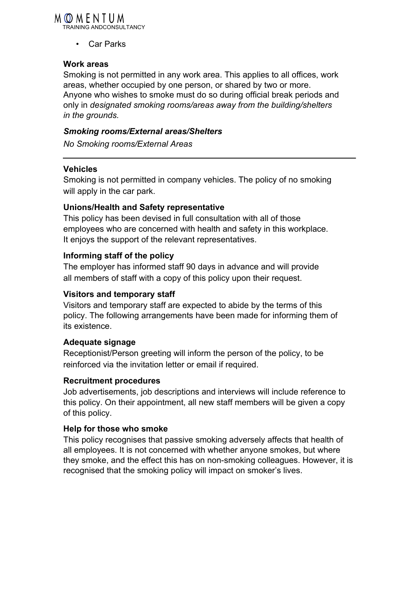# MOMENTUM

TRAINING ANDCONSULTANCY

• Car Parks

# **Work areas**

Smoking is not permitted in any work area. This applies to all offices, work areas, whether occupied by one person, or shared by two or more. Anyone who wishes to smoke must do so during official break periods and only in *designated smoking rooms/areas away from the building/shelters in the grounds.*

# *Smoking rooms/External areas/Shelters*

*No Smoking rooms/External Areas*

# **Vehicles**

Smoking is not permitted in company vehicles. The policy of no smoking will apply in the car park.

# **Unions/Health and Safety representative**

This policy has been devised in full consultation with all of those employees who are concerned with health and safety in this workplace. It enjoys the support of the relevant representatives.

# **Informing staff of the policy**

The employer has informed staff 90 days in advance and will provide all members of staff with a copy of this policy upon their request.

# **Visitors and temporary staff**

Visitors and temporary staff are expected to abide by the terms of this policy. The following arrangements have been made for informing them of its existence.

# **Adequate signage**

Receptionist/Person greeting will inform the person of the policy, to be reinforced via the invitation letter or email if required.

# **Recruitment procedures**

Job advertisements, job descriptions and interviews will include reference to this policy. On their appointment, all new staff members will be given a copy of this policy.

# **Help for those who smoke**

This policy recognises that passive smoking adversely affects that health of all employees. It is not concerned with whether anyone smokes, but where they smoke, and the effect this has on non-smoking colleagues. However, it is recognised that the smoking policy will impact on smoker's lives.